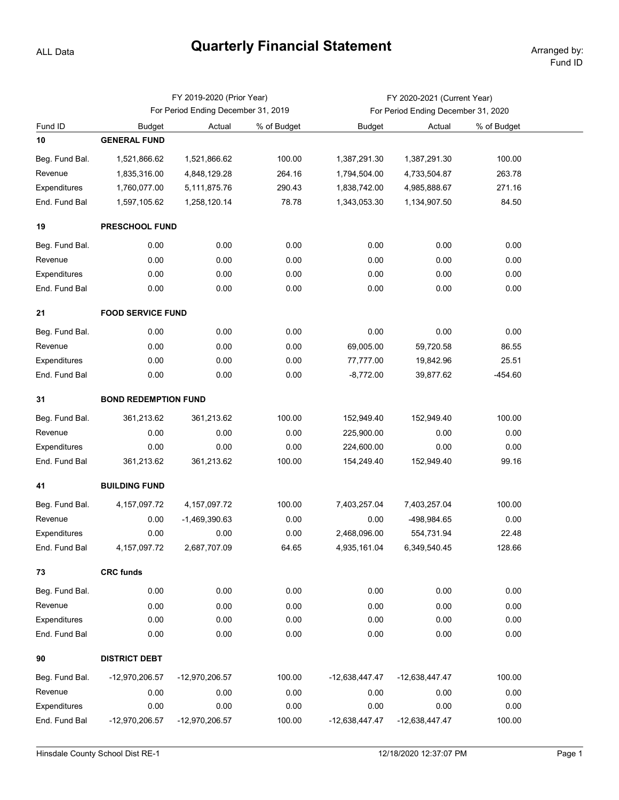## **Quarterly Financial Statement**

ALL Data

|                |                             | FY 2019-2020 (Prior Year)           |             | FY 2020-2021 (Current Year)         |                  |             |  |  |  |  |
|----------------|-----------------------------|-------------------------------------|-------------|-------------------------------------|------------------|-------------|--|--|--|--|
|                |                             | For Period Ending December 31, 2019 |             | For Period Ending December 31, 2020 |                  |             |  |  |  |  |
| Fund ID        | <b>Budget</b>               | Actual                              | % of Budget | <b>Budget</b>                       | Actual           | % of Budget |  |  |  |  |
| 10             | <b>GENERAL FUND</b>         |                                     |             |                                     |                  |             |  |  |  |  |
| Beg. Fund Bal. | 1,521,866.62                | 1,521,866.62                        | 100.00      | 1,387,291.30                        | 1,387,291.30     | 100.00      |  |  |  |  |
| Revenue        | 1,835,316.00                | 4,848,129.28                        | 264.16      | 1,794,504.00                        | 4,733,504.87     | 263.78      |  |  |  |  |
| Expenditures   | 1,760,077.00                | 5,111,875.76                        | 290.43      | 1,838,742.00                        | 4,985,888.67     | 271.16      |  |  |  |  |
| End. Fund Bal  | 1,597,105.62                | 1,258,120.14                        | 78.78       | 1,343,053.30                        | 1,134,907.50     | 84.50       |  |  |  |  |
| 19             | <b>PRESCHOOL FUND</b>       |                                     |             |                                     |                  |             |  |  |  |  |
| Beg. Fund Bal. | 0.00                        | 0.00                                | 0.00        | 0.00                                | 0.00             | 0.00        |  |  |  |  |
| Revenue        | 0.00                        | 0.00                                | 0.00        | 0.00                                | 0.00             | 0.00        |  |  |  |  |
| Expenditures   | 0.00                        | 0.00                                | 0.00        | 0.00                                | 0.00             | 0.00        |  |  |  |  |
| End. Fund Bal  | 0.00                        | 0.00                                | 0.00        | 0.00                                | 0.00             | 0.00        |  |  |  |  |
| 21             | <b>FOOD SERVICE FUND</b>    |                                     |             |                                     |                  |             |  |  |  |  |
| Beg. Fund Bal. | 0.00                        | 0.00                                | 0.00        | 0.00                                | 0.00             | 0.00        |  |  |  |  |
| Revenue        | 0.00                        | 0.00                                | 0.00        | 69,005.00                           | 59,720.58        | 86.55       |  |  |  |  |
| Expenditures   | 0.00                        | 0.00                                | 0.00        | 77,777.00                           | 19,842.96        | 25.51       |  |  |  |  |
| End. Fund Bal  | 0.00                        | 0.00                                | 0.00        | $-8,772.00$                         | 39,877.62        | $-454.60$   |  |  |  |  |
| 31             | <b>BOND REDEMPTION FUND</b> |                                     |             |                                     |                  |             |  |  |  |  |
| Beg. Fund Bal. | 361,213.62                  | 361,213.62                          | 100.00      | 152,949.40                          | 152,949.40       | 100.00      |  |  |  |  |
| Revenue        | 0.00                        | 0.00                                | 0.00        | 225,900.00                          | 0.00             | 0.00        |  |  |  |  |
| Expenditures   | 0.00                        | 0.00                                | 0.00        | 224,600.00                          | 0.00             | 0.00        |  |  |  |  |
| End. Fund Bal  | 361,213.62                  | 361,213.62                          | 100.00      | 154,249.40                          | 152,949.40       | 99.16       |  |  |  |  |
| 41             | <b>BUILDING FUND</b>        |                                     |             |                                     |                  |             |  |  |  |  |
| Beg. Fund Bal. | 4, 157, 097. 72             | 4, 157, 097. 72                     | 100.00      | 7,403,257.04                        | 7,403,257.04     | 100.00      |  |  |  |  |
| Revenue        | 0.00                        | $-1,469,390.63$                     | 0.00        | 0.00                                | -498,984.65      | 0.00        |  |  |  |  |
| Expenditures   | 0.00                        | 0.00                                | 0.00        | 2,468,096.00                        | 554,731.94       | 22.48       |  |  |  |  |
| End. Fund Bal  | 4, 157, 097. 72             | 2,687,707.09                        | 64.65       | 4,935,161.04                        | 6,349,540.45     | 128.66      |  |  |  |  |
| 73             | <b>CRC funds</b>            |                                     |             |                                     |                  |             |  |  |  |  |
| Beg. Fund Bal. | 0.00                        | 0.00                                | 0.00        | 0.00                                | 0.00             | 0.00        |  |  |  |  |
| Revenue        | 0.00                        | 0.00                                | 0.00        | 0.00                                | 0.00             | 0.00        |  |  |  |  |
| Expenditures   | 0.00                        | 0.00                                | 0.00        | 0.00                                | 0.00             | 0.00        |  |  |  |  |
| End. Fund Bal  | 0.00                        | 0.00                                | 0.00        | 0.00                                | 0.00             | 0.00        |  |  |  |  |
| 90             | <b>DISTRICT DEBT</b>        |                                     |             |                                     |                  |             |  |  |  |  |
| Beg. Fund Bal. | -12,970,206.57              | -12,970,206.57                      | 100.00      | -12,638,447.47                      | $-12,638,447.47$ | 100.00      |  |  |  |  |
| Revenue        | 0.00                        | 0.00                                | 0.00        | 0.00                                | 0.00             | 0.00        |  |  |  |  |
| Expenditures   | 0.00                        | 0.00                                | 0.00        | 0.00                                | 0.00             | 0.00        |  |  |  |  |
| End. Fund Bal  | -12,970,206.57              | -12,970,206.57                      | 100.00      | -12,638,447.47                      | -12,638,447.47   | 100.00      |  |  |  |  |